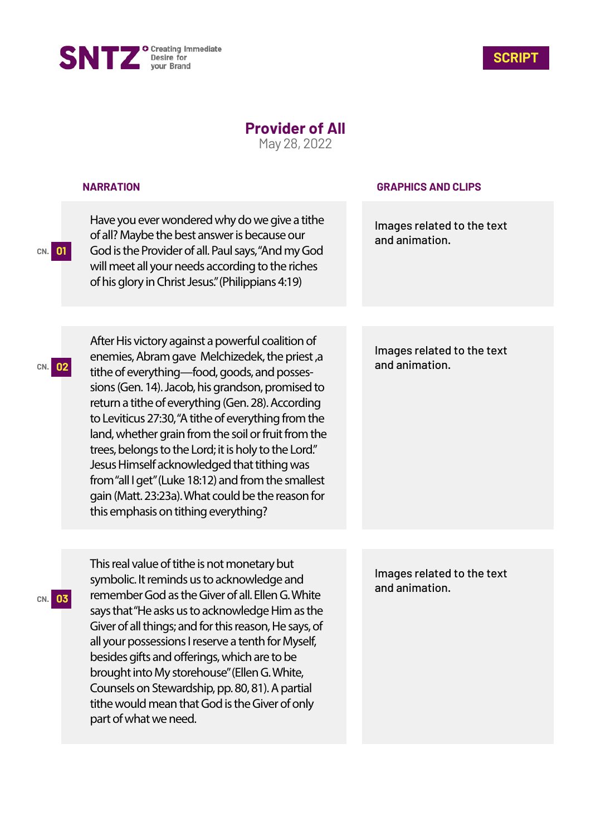



## **Provider of All**

May 28, 2022

|           | <b>NARRATION</b>                                                                                                                                                                                                                                                                                                                                                                                                                                                                                                                                                                                                                       | <b>GRAPHICS AND CLIPS</b>                    |
|-----------|----------------------------------------------------------------------------------------------------------------------------------------------------------------------------------------------------------------------------------------------------------------------------------------------------------------------------------------------------------------------------------------------------------------------------------------------------------------------------------------------------------------------------------------------------------------------------------------------------------------------------------------|----------------------------------------------|
| 01<br>CN. | Have you ever wondered why do we give a tithe<br>of all? Maybe the best answer is because our<br>God is the Provider of all. Paul says, "And my God<br>will meet all your needs according to the riches<br>of his glory in Christ Jesus." (Philippians 4:19)                                                                                                                                                                                                                                                                                                                                                                           | Images related to the text<br>and animation. |
|           |                                                                                                                                                                                                                                                                                                                                                                                                                                                                                                                                                                                                                                        |                                              |
|           | After His victory against a powerful coalition of<br>enemies, Abram gave Melchizedek, the priest, a<br>tithe of everything-food, goods, and posses-<br>sions (Gen. 14). Jacob, his grandson, promised to<br>return a tithe of everything (Gen. 28). According<br>to Leviticus 27:30, "A tithe of everything from the<br>land, whether grain from the soil or fruit from the<br>trees, belongs to the Lord; it is holy to the Lord."<br>Jesus Himself acknowledged that tithing was<br>from "all I get" (Luke 18:12) and from the smallest<br>gain (Matt. 23:23a). What could be the reason for<br>this emphasis on tithing everything? | Images related to the text<br>and animation. |
|           |                                                                                                                                                                                                                                                                                                                                                                                                                                                                                                                                                                                                                                        |                                              |
| 03<br>CN. | This real value of tithe is not monetary but<br>symbolic. It reminds us to acknowledge and<br>remember God as the Giver of all. Ellen G. White<br>says that "He asks us to acknowledge Him as the<br>Giver of all things; and for this reason, He says, of<br>all your possessions I reserve a tenth for Myself,<br>besides gifts and offerings, which are to be<br>brought into My storehouse" (Ellen G. White,<br>Counsels on Stewardship, pp. 80, 81). A partial<br>tithe would mean that God is the Giver of only<br>part of what we need.                                                                                         | Images related to the text<br>and animation. |